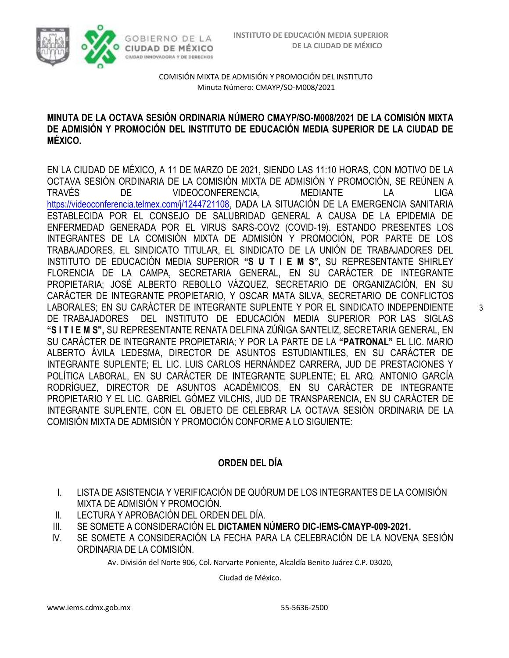

### **MINUTA DE LA OCTAVA SESIÓN ORDINARIA NÚMERO CMAYP/SO-M008/2021 DE LA COMISIÓN MIXTA DE ADMISIÓN Y PROMOCIÓN DEL INSTITUTO DE EDUCACIÓN MEDIA SUPERIOR DE LA CIUDAD DE MÉXICO.**

EN LA CIUDAD DE MÉXICO, A 11 DE MARZO DE 2021, SIENDO LAS 11:10 HORAS, CON MOTIVO DE LA OCTAVA SESIÓN ORDINARIA DE LA COMISIÓN MIXTA DE ADMISIÓN Y PROMOCIÓN, SE REÚNEN A TRAVÉS DE VIDEOCONFERENCIA, MEDIANTE LA LIGA [https://videoconferencia.telmex.com/j/1244721108,](https://videoconferencia.telmex.com/j/1244721108) DADA LA SITUACIÓN DE LA EMERGENCIA SANITARIA ESTABLECIDA POR EL CONSEJO DE SALUBRIDAD GENERAL A CAUSA DE LA EPIDEMIA DE ENFERMEDAD GENERADA POR EL VIRUS SARS-COV2 (COVID-19). ESTANDO PRESENTES LOS INTEGRANTES DE LA COMISIÓN MIXTA DE ADMISIÓN Y PROMOCIÓN, POR PARTE DE LOS TRABAJADORES, EL SINDICATO TITULAR, EL SINDICATO DE LA UNIÓN DE TRABAJADORES DEL INSTITUTO DE EDUCACIÓN MEDIA SUPERIOR **"S U T I E M S",** SU REPRESENTANTE SHIRLEY FLORENCIA DE LA CAMPA, SECRETARIA GENERAL, EN SU CARÁCTER DE INTEGRANTE PROPIETARIA; JOSÉ ALBERTO REBOLLO VÁZQUEZ, SECRETARIO DE ORGANIZACIÓN, EN SU CARÁCTER DE INTEGRANTE PROPIETARIO, Y OSCAR MATA SILVA, SECRETARIO DE CONFLICTOS LABORALES; EN SU CARÁCTER DE INTEGRANTE SUPLENTE Y POR EL SINDICATO INDEPENDIENTE DE TRABAJADORES DEL INSTITUTO DE EDUCACIÓN MEDIA SUPERIOR POR LAS SIGLAS **"S I T I E M S",** SU REPRESENTANTE RENATA DELFINA ZÚÑIGA SANTELIZ, SECRETARIA GENERAL, EN SU CARÁCTER DE INTEGRANTE PROPIETARIA; Y POR LA PARTE DE LA **"PATRONAL"** EL LIC. MARIO ALBERTO ÁVILA LEDESMA, DIRECTOR DE ASUNTOS ESTUDIANTILES, EN SU CARÁCTER DE INTEGRANTE SUPLENTE; EL LIC. LUIS CARLOS HERNÁNDEZ CARRERA, JUD DE PRESTACIONES Y POLÍTICA LABORAL, EN SU CARÁCTER DE INTEGRANTE SUPLENTE; EL ARQ. ANTONIO GARCÍA RODRÍGUEZ, DIRECTOR DE ASUNTOS ACADÉMICOS, EN SU CARÁCTER DE INTEGRANTE PROPIETARIO Y EL LIC. GABRIEL GÓMEZ VILCHIS, JUD DE TRANSPARENCIA, EN SU CARÁCTER DE INTEGRANTE SUPLENTE, CON EL OBJETO DE CELEBRAR LA OCTAVA SESIÓN ORDINARIA DE LA COMISIÓN MIXTA DE ADMISIÓN Y PROMOCIÓN CONFORME A LO SIGUIENTE:

## **ORDEN DEL DÍA**

- I. LISTA DE ASISTENCIA Y VERIFICACIÓN DE QUÓRUM DE LOS INTEGRANTES DE LA COMISIÓN MIXTA DE ADMISIÓN Y PROMOCIÓN.
- II. LECTURA Y APROBACIÓN DEL ORDEN DEL DÍA.
- III. SE SOMETE A CONSIDERACIÓN EL **DICTAMEN NÚMERO DIC-IEMS-CMAYP-009-2021.**
- IV. SE SOMETE A CONSIDERACIÓN LA FECHA PARA LA CELEBRACIÓN DE LA NOVENA SESIÓN ORDINARIA DE LA COMISIÓN.

Av. División del Norte 906, Col. Narvarte Poniente, Alcaldía Benito Juárez C.P. 03020,

Ciudad de México.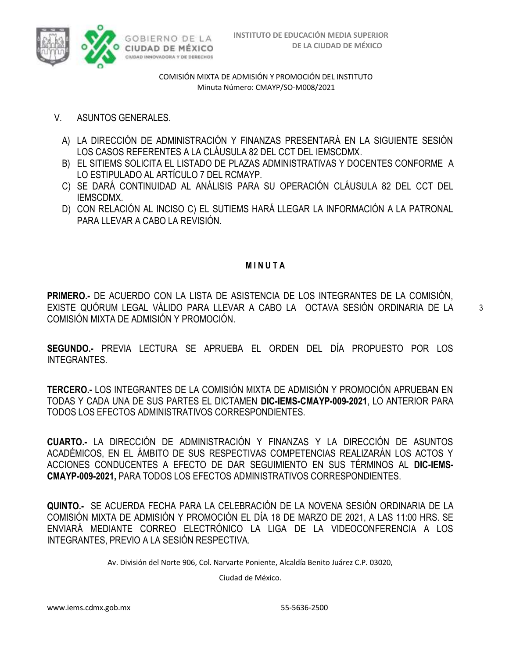

- V. ASUNTOS GENERALES.
	- A) LA DIRECCIÓN DE ADMINISTRACIÓN Y FINANZAS PRESENTARÁ EN LA SIGUIENTE SESIÓN LOS CASOS REFERENTES A LA CLÁUSULA 82 DEL CCT DEL IEMSCDMX.
	- B) EL SITIEMS SOLICITA EL LISTADO DE PLAZAS ADMINISTRATIVAS Y DOCENTES CONFORME A LO ESTIPULADO AL ARTÍCULO 7 DEL RCMAYP.
	- C) SE DARÁ CONTINUIDAD AL ANÁLISIS PARA SU OPERACIÓN CLÁUSULA 82 DEL CCT DEL IEMSCDMX.
	- D) CON RELACIÓN AL INCISO C) EL SUTIEMS HARÁ LLEGAR LA INFORMACIÓN A LA PATRONAL PARA LLEVAR A CABO LA REVISIÓN.

### **M I N U T A**

**PRIMERO.-** DE ACUERDO CON LA LISTA DE ASISTENCIA DE LOS INTEGRANTES DE LA COMISIÓN, EXISTE QUÓRUM LEGAL VÁLIDO PARA LLEVAR A CABO LA OCTAVA SESIÓN ORDINARIA DE LA COMISIÓN MIXTA DE ADMISIÓN Y PROMOCIÓN.

**SEGUNDO.-** PREVIA LECTURA SE APRUEBA EL ORDEN DEL DÍA PROPUESTO POR LOS INTEGRANTES.

**TERCERO.-** LOS INTEGRANTES DE LA COMISIÓN MIXTA DE ADMISIÓN Y PROMOCIÓN APRUEBAN EN TODAS Y CADA UNA DE SUS PARTES EL DICTAMEN **DIC-IEMS-CMAYP-009-2021**, LO ANTERIOR PARA TODOS LOS EFECTOS ADMINISTRATIVOS CORRESPONDIENTES.

**CUARTO.-** LA DIRECCIÓN DE ADMINISTRACIÓN Y FINANZAS Y LA DIRECCIÓN DE ASUNTOS ACADÉMICOS, EN EL ÁMBITO DE SUS RESPECTIVAS COMPETENCIAS REALIZARÁN LOS ACTOS Y ACCIONES CONDUCENTES A EFECTO DE DAR SEGUIMIENTO EN SUS TÉRMINOS AL **DIC-IEMS-CMAYP-009-2021,** PARA TODOS LOS EFECTOS ADMINISTRATIVOS CORRESPONDIENTES.

**QUINTO.-** SE ACUERDA FECHA PARA LA CELEBRACIÓN DE LA NOVENA SESIÓN ORDINARIA DE LA COMISIÓN MIXTA DE ADMISIÓN Y PROMOCIÓN EL DÍA 18 DE MARZO DE 2021, A LAS 11:00 HRS. SE ENVIARÁ MEDIANTE CORREO ELECTRÓNICO LA LIGA DE LA VIDEOCONFERENCIA A LOS INTEGRANTES, PREVIO A LA SESIÓN RESPECTIVA.

Av. División del Norte 906, Col. Narvarte Poniente, Alcaldía Benito Juárez C.P. 03020,

Ciudad de México.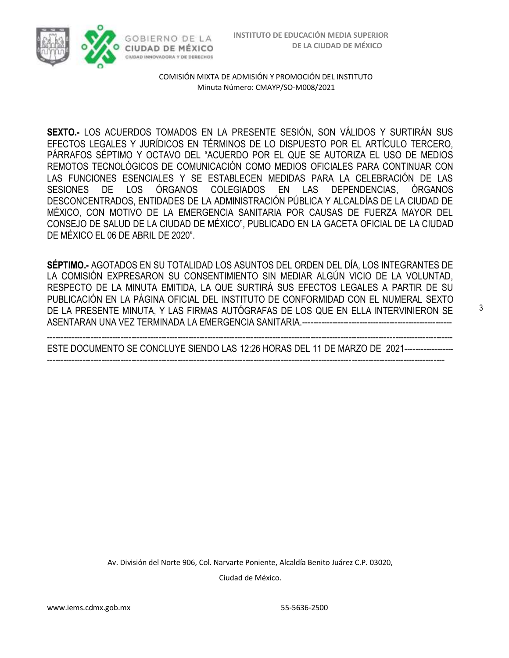3



COMISIÓN MIXTA DE ADMISIÓN Y PROMOCIÓN DEL INSTITUTO Minuta Número: CMAYP/SO-M008/2021

**SEXTO.-** LOS ACUERDOS TOMADOS EN LA PRESENTE SESIÓN, SON VÁLIDOS Y SURTIRÁN SUS EFECTOS LEGALES Y JURÍDICOS EN TÉRMINOS DE LO DISPUESTO POR EL ARTÍCULO TERCERO, PÁRRAFOS SÉPTIMO Y OCTAVO DEL "ACUERDO POR EL QUE SE AUTORIZA EL USO DE MEDIOS REMOTOS TECNOLÓGICOS DE COMUNICACIÓN COMO MEDIOS OFICIALES PARA CONTINUAR CON LAS FUNCIONES ESENCIALES Y SE ESTABLECEN MEDIDAS PARA LA CELEBRACIÓN DE LAS SESIONES DE LOS ÓRGANOS COLEGIADOS EN LAS DEPENDENCIAS, ÓRGANOS DESCONCENTRADOS, ENTIDADES DE LA ADMINISTRACIÓN PÚBLICA Y ALCALDÍAS DE LA CIUDAD DE MÉXICO, CON MOTIVO DE LA EMERGENCIA SANITARIA POR CAUSAS DE FUERZA MAYOR DEL CONSEJO DE SALUD DE LA CIUDAD DE MÉXICO", PUBLICADO EN LA GACETA OFICIAL DE LA CIUDAD DE MÉXICO EL 06 DE ABRIL DE 2020".

**SÉPTIMO.-** AGOTADOS EN SU TOTALIDAD LOS ASUNTOS DEL ORDEN DEL DÍA, LOS INTEGRANTES DE LA COMISIÓN EXPRESARON SU CONSENTIMIENTO SIN MEDIAR ALGÚN VICIO DE LA VOLUNTAD, RESPECTO DE LA MINUTA EMITIDA, LA QUE SURTIRÁ SUS EFECTOS LEGALES A PARTIR DE SU PUBLICACIÓN EN LA PÁGINA OFICIAL DEL INSTITUTO DE CONFORMIDAD CON EL NUMERAL SEXTO DE LA PRESENTE MINUTA, Y LAS FIRMAS AUTÓGRAFAS DE LOS QUE EN ELLA INTERVINIERON SE ASENTARAN UNA VEZ TERMINADA LA EMERGENCIA SANITARIA.-------------------------------------------------------

----------------------------------------------------------------------------------------------------------------------------------------------------- ESTE DOCUMENTO SE CONCLUYE SIENDO LAS 12:26 HORAS DEL 11 DE MARZO DE 2021------------------ --------------------------------------------------------------------------------------------------------------------------------------------------

> Av. División del Norte 906, Col. Narvarte Poniente, Alcaldía Benito Juárez C.P. 03020, Ciudad de México.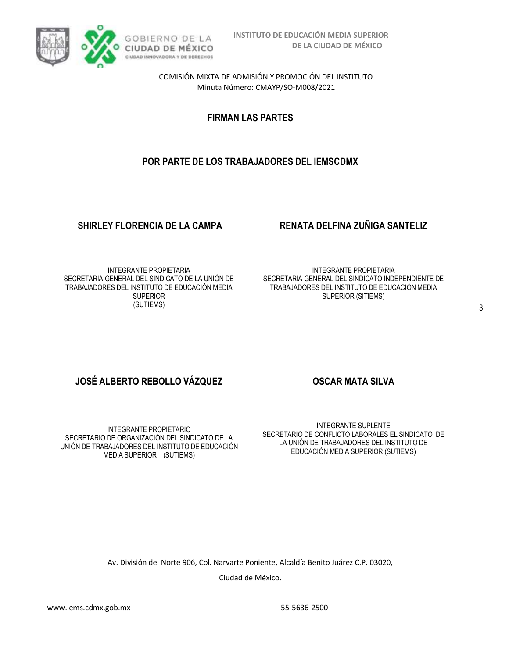

**FIRMAN LAS PARTES**

# **POR PARTE DE LOS TRABAJADORES DEL IEMSCDMX**

## **SHIRLEY FLORENCIA DE LA CAMPA RENATA DELFINA ZUÑIGA SANTELIZ**

INTEGRANTE PROPIETARIA SECRETARIA GENERAL DEL SINDICATO DE LA UNIÓN DE TRABAJADORES DEL INSTITUTO DE EDUCACIÓN MEDIA SUPERIOR (SUTIEMS)

INTEGRANTE PROPIETARIA SECRETARIA GENERAL DEL SINDICATO INDEPENDIENTE DE TRABAJADORES DEL INSTITUTO DE EDUCACIÓN MEDIA SUPERIOR (SITIEMS)

# **JOSÉ ALBERTO REBOLLO VÁZQUEZ COSCAR MATA SILVA**

INTEGRANTE PROPIETARIO SECRETARIO DE ORGANIZACIÓN DEL SINDICATO DE LA UNIÓN DE TRABAJADORES DEL INSTITUTO DE EDUCACIÓN MEDIA SUPERIOR (SUTIEMS)

INTEGRANTE SUPLENTE SECRETARIO DE CONFLICTO LABORALES EL SINDICATO DE LA UNIÓN DE TRABAJADORES DEL INSTITUTO DE EDUCACIÓN MEDIA SUPERIOR (SUTIEMS)

Av. División del Norte 906, Col. Narvarte Poniente, Alcaldía Benito Juárez C.P. 03020, Ciudad de México.